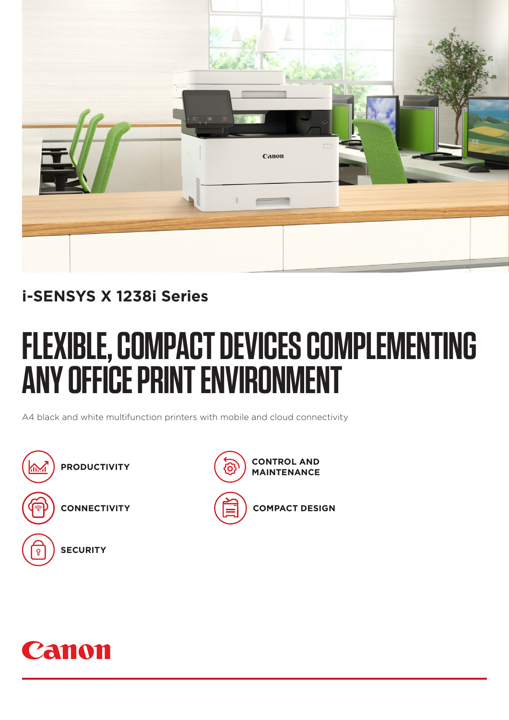

### **i-SENSYS X 1238i Series**

# **FLEXIBLE, COMPACT DEVICES COMPLEMENTING ANY OFFICE PRINT ENVIRONMENT**

A4 black and white multifunction printers with mobile and cloud connectivity





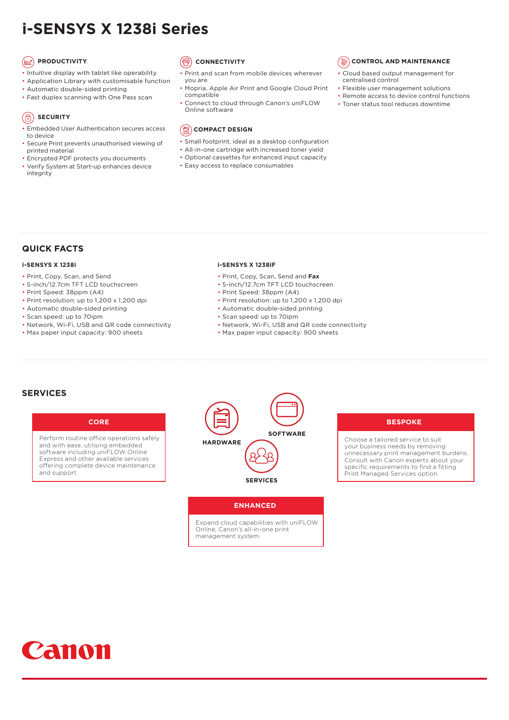### **i-SENSYS X 1238i Series**

#### **(ax) PRODUCTIVITY**

- Intuitive display with tablet like operability
- Application Library with customisable function
- Automatic double-sided printing
- Fast duplex scanning with One Pass scan

#### **SECURITY**

- Embedded User Authentication secures access to device
- Secure Print prevents unauthorised viewing of printed material
- Encrypted PDF protects you documents
- Verify System at Start-up enhances device integrity

#### **CONNECTIVITY**

- Print and scan from mobile devices wherever you are
- Mopria, Apple Air Print and Google Cloud Print compatible
- Connect to cloud through Canon's uniFLOW Online software



- Small footprint, ideal as a desktop configuration
- All-in-one cartridge with increased toner yield
- Optional cassettes for enhanced input capacity
	-

#### *S* CONTROL AND MAINTENANCE

- Cloud based output management for centralised control
- Flexible user management solutions
	- Remote access to device control functions
	- Toner status tool reduces downtime

- - Easy access to replace consumables

### **QUICK FACTS**

#### **i-SENSYS X 1238i**

- Print, Copy, Scan, and Send
- 5-inch/12.7cm TFT LCD touchscreen
- Print Speed: 38ppm (A4)
- Print resolution: up to 1,200 x 1,200 dpi
- Automatic double-sided printing
- Scan speed: up to 70ipm
- Network, Wi-Fi, USB and QR code connectivity
- Max paper input capacity: 900 sheets

#### **i-SENSYS X 1238iF**

- Print, Copy, Scan, Send and **Fax**
- 5-inch/12.7cm TFT LCD touchscreen
- Print Speed: 38ppm (A4)
- Print resolution: up to 1,200 x 1,200 dpi
- Automatic double-sided printing
- Scan speed: up to 70ipm
- Network, Wi-Fi, USB and QR code connectivity
- Max paper input capacity: 900 sheets

#### **SERVICES**



Perform routine office operations safely and with ease, utilising embedded software including uniFLOW Online Express and other available services offering complete device maintenance and support



#### **BESPOKE**

Choose a tailored service to suit your business needs by removing unnecessary print management burdens. Consult with Canon experts about your specific requirements to find a fitting Print Managed Services option

#### **ENHANCED**

Expand cloud capabilities with uniFLOW Online, Canon's all-in-one print management system

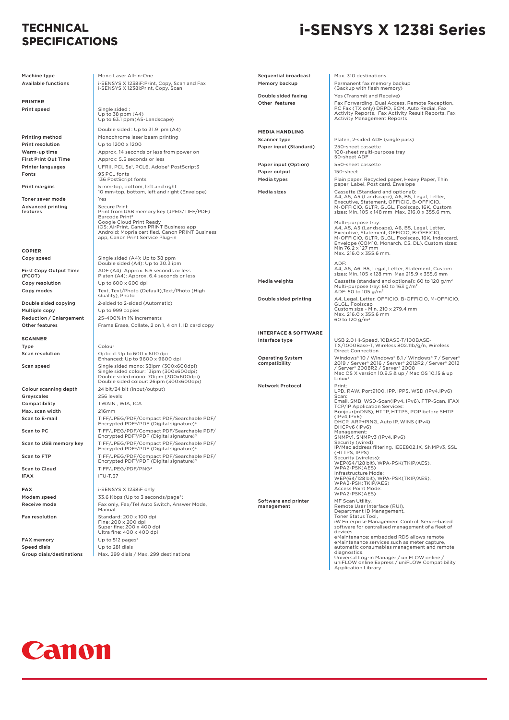#### **TECHNICAL SPECIFICATIONS**

### **i-SENSYS X 1238i Series**

| Machine type                   | Mono Laser All-In-One                                                                                                       | <b>Sequential broadcast</b>        | Max. 310 destinations                                                                                          |
|--------------------------------|-----------------------------------------------------------------------------------------------------------------------------|------------------------------------|----------------------------------------------------------------------------------------------------------------|
| Available functions            | i-SENSYS X 1238iF:Print, Copy, Scan and Fax                                                                                 | Memory backup                      | Permanent fax memory backup<br>(Backup with flash memory)                                                      |
|                                | i-SENSYS X 1238i:Print, Copy, Scan                                                                                          | Double sided faxing                | Yes (Transmit and Receive)                                                                                     |
| <b>PRINTER</b>                 |                                                                                                                             | Other features                     | Fax Forwarding, Dual Access, Remote Reception,                                                                 |
| Print speed                    | Single sided:<br>Up to 38 ppm (A4)                                                                                          |                                    | PC Fax (TX only) DRPD, ECM, Auto Redial, Fax<br>Activity Reports, Fax Activity Result Reports, Fax             |
|                                | Up to 63.1 ppm (A5-Landscape)                                                                                               |                                    | <b>Activity Management Reports</b>                                                                             |
|                                | Double sided: Up to 31.9 ipm (A4)                                                                                           | <b>MEDIA HANDLING</b>              |                                                                                                                |
| Printing method                | Monochrome laser beam printing                                                                                              | Scanner type                       | Platen, 2-sided ADF (single pass)                                                                              |
| Print resolution               | Up to 1200 x 1200                                                                                                           | Paper input (Standard)             | 250-sheet cassette                                                                                             |
| Warm-up time                   | Approx. 14 seconds or less from power on                                                                                    |                                    | 100-sheet multi-purpose tray<br>50-sheet ADF                                                                   |
| <b>First Print Out Time</b>    | Approx: 5.5 seconds or less                                                                                                 | Paper input (Option)               | 550-sheet cassette                                                                                             |
| Printer languages              | UFRII, PCL 5e <sup>1</sup> , PCL6, Adobe® PostScript3                                                                       | Paper output                       | 150-sheet                                                                                                      |
| Fonts                          | 93 PCL fonts<br>136 PostScript fonts                                                                                        | <b>Media types</b>                 | Plain paper, Recycled paper, Heavy Paper, Thin<br>paper, Label, Post card, Envelope                            |
| Print margins                  | 5 mm-top, bottom, left and right<br>10 mm-top, bottom, left and right (Envelope)                                            | Media sizes                        | Cassette (Standard and optional):<br>A4, A5, A5 (Landscape), A6, B5, Legal, Letter,                            |
| Toner saver mode               | Yes                                                                                                                         |                                    | Executive, Statement, OFFICIO, B-OFFICIO,                                                                      |
| Advanced printing<br>features  | <b>Secure Print</b><br>Print from USB memory key (JPEG/TIFF/PDF)<br>Barcode Print <sup>2</sup>                              |                                    | M-OFFICIO, GLTR, GLGL, Foolscap, 16K, Custom<br>sizes: Min. 105 x 148 mm Max. 216.0 x 355.6 mm.                |
|                                | Google Cloud Print Ready<br>iOS: AirPrint, Canon PRINT Business app                                                         |                                    | Multi-purpose tray:<br>A4, A5, A5 (Landscape), A6, B5, Legal, Letter,                                          |
|                                | Android; Mopria certified, Canon PRINT Business                                                                             |                                    | Executive, Statement, OFFICIO, B-OFFICIO,                                                                      |
|                                | app, Canon Print Service Plug-in                                                                                            |                                    | M-OFFICIO, GLTR, GLGL, Foolscap, 16K, Indexcard,<br>Envelope (COM10, Monarch, C5, DL), Custom sizes:           |
| COPIER                         |                                                                                                                             |                                    | Min 76.2 x 127 mm                                                                                              |
| Copy speed                     | Single sided (A4): Up to 38 ppm                                                                                             |                                    | Max. 216.0 x 355.6 mm.                                                                                         |
|                                | Double sided (A4): Up to 30.3 ipm                                                                                           |                                    | ADF:                                                                                                           |
| First Copy Output Time         | ADF (A4): Approx. 6.6 seconds or less                                                                                       |                                    | A4, A5, A6, B5, Legal, Letter, Statement, Custom<br>sizes: Min. 105 x 128 mm Max 215.9 x 355.6 mm              |
| (FCOT)                         | Platen (A4): Approx. 6.4 seconds or less<br>Up to 600 x 600 dpi                                                             | Media weights                      | Cassette (standard and optional): 60 to 120 g/m <sup>2</sup>                                                   |
| Copy resolution<br>Copy modes  | Text, Text/Photo (Default), Text/Photo (High                                                                                |                                    | Multi-purpose tray: 60 to 163 g/m <sup>2</sup>                                                                 |
|                                | Quality), Photo                                                                                                             | Double sided printing              | ADF: 50 to 105 $g/m^2$<br>A4, Legal, Letter, OFFICIO, B-OFFICIO, M-OFFICIO,                                    |
| Double sided copying           | 2-sided to 2-sided (Automatic)                                                                                              |                                    | GLGL, Foolscap                                                                                                 |
| Multiple copy                  | Up to 999 copies                                                                                                            |                                    | Custom size - Min. 210 x 279.4 mm<br>Max. 216.0 x 355.6 mm                                                     |
| <b>Reduction / Enlargement</b> | 25-400% in 1% increments                                                                                                    |                                    | 60 to 120 g/m <sup>2</sup>                                                                                     |
| Other features                 | Frame Erase, Collate, 2 on 1, 4 on 1, ID card copy                                                                          |                                    |                                                                                                                |
|                                |                                                                                                                             | <b>INTERFACE &amp; SOFTWARE</b>    |                                                                                                                |
| <b>SCANNER</b><br>Type         | Colour                                                                                                                      | Interface type                     | USB 2.0 Hi-Speed, 10BASE-T/100BASE-<br>TX/1000Base-T, Wireless 802.11b/g/n, Wireless                           |
| Scan resolution                | Optical: Up to 600 x 600 dpi                                                                                                |                                    | <b>Direct Connection</b>                                                                                       |
|                                | Enhanced: Up to 9600 x 9600 dpi                                                                                             | <b>Operating System</b>            | Windows® 10 / Windows® 8.1 / Windows® 7 / Server®                                                              |
| Scan speed                     | Single sided mono: 38ipm (300x600dpi)                                                                                       | compatibility                      | 2019 / Server® 2016 / Server® 2012R2 / Server® 2012<br>/ Server <sup>®</sup> 2008R2 / Server <sup>®</sup> 2008 |
|                                | Single sided colour: 13ipm (300x600dpi)<br>Double sided mono: 70ipm (300x600dpi)<br>Double sided colour: 26ipm (300x600dpi) |                                    | Mac OS X version 10.9.5 & up / Mac OS 10.15 & up<br>Linux <sup>6</sup>                                         |
| Colour scanning depth          | 24 bit/24 bit (input/output)                                                                                                | <b>Network Protocol</b>            | Print:                                                                                                         |
| Greyscales                     | 256 levels                                                                                                                  |                                    | LPD, RAW, Port9100, IPP, IPPS, WSD (IPv4, IPv6)<br>Scan:                                                       |
| Compatibility                  | TWAIN, WIA, ICA                                                                                                             |                                    | Email, SMB, WSD-Scan(IPv4, IPv6), FTP-Scan, iFAX                                                               |
| Max. scan width                | 216mm                                                                                                                       |                                    | <b>TCP/IP Application Services:</b><br>Bonjour(mDNS), HTTP, HTTPS, POP before SMTP                             |
| Scan to E-mail                 | TIFF/JPEG/PDF/Compact PDF/Searchable PDF/                                                                                   |                                    | (IPy4.IPy6)<br>DHCP, ARP+PING, Auto IP, WINS (IPv4)                                                            |
|                                | Encrypted PDF <sup>3</sup> /PDF (Digital signature) <sup>3</sup>                                                            |                                    | DHCPv6 (IPv6)                                                                                                  |
| Scan to PC                     | TIFF/JPEG/PDF/Compact PDF/Searchable PDF/<br>Encrypted PDF <sup>3</sup> /PDF (Digital signature) <sup>3</sup>               |                                    | Management:<br>SNMPv1, SNMPv3 (IPv4,IPv6)                                                                      |
| Scan to USB memory key         | TIFF/JPEG/PDF/Compact PDF/Searchable PDF/<br>Encrypted PDF <sup>3</sup> /PDF (Digital signature)                            |                                    | Security (wired):<br>IP/Mac address filtering, IEEE802.1X, SNMPv3, SSL                                         |
| Scan to FTP                    | TIFF/JPEG/PDF/Compact PDF/Searchable PDF/<br>Encrypted PDF <sup>3</sup> /PDF (Digital signature) <sup>3</sup>               |                                    | (HTTPS, IPPS)<br>Security (wireless):<br>WEP(64/128 bit), WPA-PSK(TKIP/AES),                                   |
| <b>Scan to Cloud</b>           | TIFF/JPEG/PDF/PNG <sup>4</sup>                                                                                              |                                    | WPA2-PSK(AES)                                                                                                  |
| iFAX                           | <b>ITU-T.37</b>                                                                                                             |                                    | Infrastructure Mode:<br>WEP(64/128 bit), WPA-PSK(TKIP/AES),<br>WPA2-PSK(TKIP/AES)                              |
| <b>FAX</b>                     | i-SENSYS X 1238iF only                                                                                                      |                                    | Access Point Mode:                                                                                             |
| Modem speed                    | 33.6 Kbps (Up to 3 seconds/page <sup>5</sup> )                                                                              |                                    | WPA2-PSK(AES)                                                                                                  |
| Receive mode                   | Fax only, Fax/Tel Auto Switch, Answer Mode,<br>Manual                                                                       | Software and printer<br>management | MF Scan Utility,<br>Remote User Interface (RUI),                                                               |
| <b>Fax resolution</b>          | Standard: 200 x 100 dpi                                                                                                     |                                    | Department ID Management,<br>Toner Status Tool,                                                                |
|                                | Fine: 200 x 200 dpi                                                                                                         |                                    | iW Enterprise Management Control: Server-based                                                                 |
|                                | Super fine: 200 x 400 dpi<br>Ultra fine: 400 x 400 dpi                                                                      |                                    | software for centralised management of a fleet of<br>devices                                                   |
| <b>FAX memory</b>              | Up to 512 pages <sup>5</sup>                                                                                                |                                    | eMaintenance: embedded RDS allows remote<br>eMaintenance services such as meter capture,                       |
| Speed dials                    | Up to 281 dials                                                                                                             |                                    | automatic consumables management and remote                                                                    |
| Group dials/destinations       | Max. 299 dials / Max. 299 destinations                                                                                      |                                    | diagnostics.<br>Universal Log-in Manager / uniFLOW online /                                                    |
|                                |                                                                                                                             |                                    | uniFLOW online Express / uniFLOW Compatibility<br><b>Application Library</b>                                   |